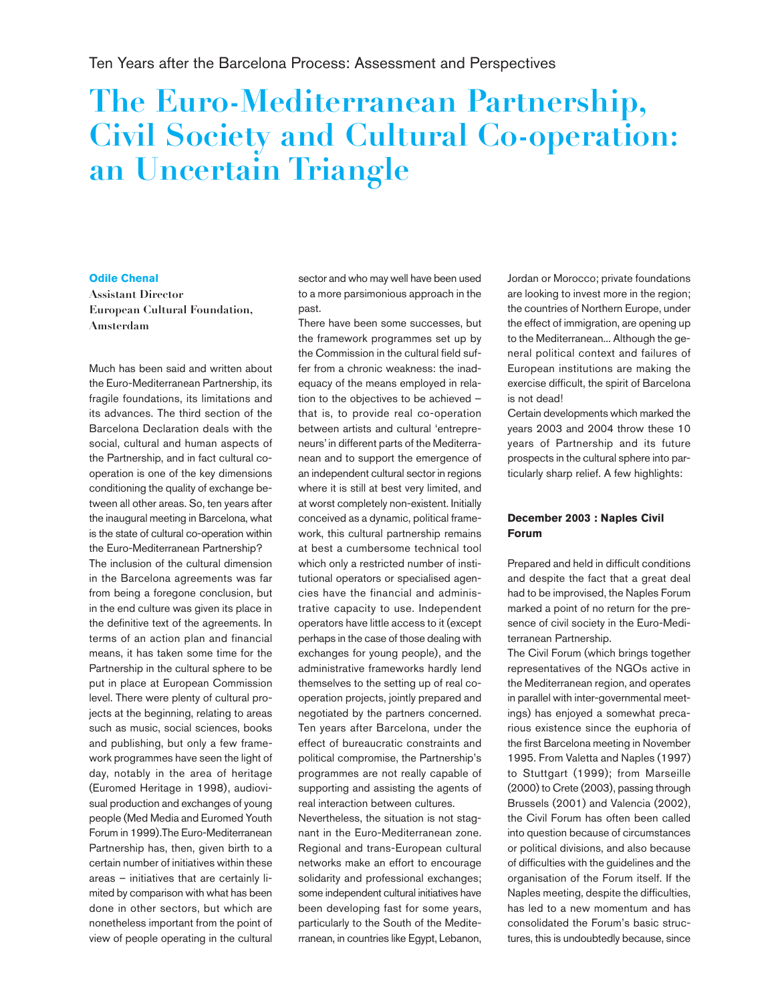# **The Euro-Mediterranean Partnership, Civil Society and Cultural Co-operation: an Uncertain Triangle**

### **Odile Chenal**

**Assistant Director European Cultural Foundation, Amsterdam**

Much has been said and written about the Euro-Mediterranean Partnership, its fragile foundations, its limitations and its advances. The third section of the Barcelona Declaration deals with the social, cultural and human aspects of the Partnership, and in fact cultural cooperation is one of the key dimensions conditioning the quality of exchange between all other areas. So, ten years after the inaugural meeting in Barcelona, what is the state of cultural co-operation within the Euro-Mediterranean Partnership? The inclusion of the cultural dimension in the Barcelona agreements was far from being a foregone conclusion, but in the end culture was given its place in the definitive text of the agreements. In terms of an action plan and financial means, it has taken some time for the Partnership in the cultural sphere to be put in place at European Commission level. There were plenty of cultural projects at the beginning, relating to areas such as music, social sciences, books and publishing, but only a few framework programmes have seen the light of day, notably in the area of heritage (Euromed Heritage in 1998), audiovisual production and exchanges of young people (Med Media and Euromed Youth Forum in 1999).The Euro-Mediterranean Partnership has, then, given birth to a certain number of initiatives within these areas – initiatives that are certainly limited by comparison with what has been done in other sectors, but which are nonetheless important from the point of view of people operating in the cultural

sector and who may well have been used to a more parsimonious approach in the past.

There have been some successes, but the framework programmes set up by the Commission in the cultural field suffer from a chronic weakness: the inadequacy of the means employed in relation to the objectives to be achieved – that is, to provide real co-operation between artists and cultural 'entrepreneurs' in different parts of the Mediterranean and to support the emergence of an independent cultural sector in regions where it is still at best very limited, and at worst completely non-existent. Initially conceived as a dynamic, political framework, this cultural partnership remains at best a cumbersome technical tool which only a restricted number of institutional operators or specialised agencies have the financial and administrative capacity to use. Independent operators have little access to it (except perhaps in the case of those dealing with exchanges for young people), and the administrative frameworks hardly lend themselves to the setting up of real cooperation projects, jointly prepared and negotiated by the partners concerned. Ten years after Barcelona, under the effect of bureaucratic constraints and political compromise, the Partnership's programmes are not really capable of supporting and assisting the agents of real interaction between cultures.

Nevertheless, the situation is not stagnant in the Euro-Mediterranean zone. Regional and trans-European cultural networks make an effort to encourage solidarity and professional exchanges; some independent cultural initiatives have been developing fast for some years, particularly to the South of the Mediterranean, in countries like Egypt, Lebanon, Jordan or Morocco; private foundations are looking to invest more in the region; the countries of Northern Europe, under the effect of immigration, are opening up to the Mediterranean... Although the general political context and failures of European institutions are making the exercise difficult, the spirit of Barcelona is not dead!

Certain developments which marked the years 2003 and 2004 throw these 10 years of Partnership and its future prospects in the cultural sphere into particularly sharp relief. A few highlights:

## **December 2003 : Naples Civil Forum**

Prepared and held in difficult conditions and despite the fact that a great deal had to be improvised, the Naples Forum marked a point of no return for the presence of civil society in the Euro-Mediterranean Partnership.

The Civil Forum (which brings together representatives of the NGOs active in the Mediterranean region, and operates in parallel with inter-governmental meetings) has enjoyed a somewhat precarious existence since the euphoria of the first Barcelona meeting in November 1995. From Valetta and Naples (1997) to Stuttgart (1999); from Marseille (2000) to Crete (2003), passing through Brussels (2001) and Valencia (2002), the Civil Forum has often been called into question because of circumstances or political divisions, and also because of difficulties with the guidelines and the organisation of the Forum itself. If the Naples meeting, despite the difficulties, has led to a new momentum and has consolidated the Forum's basic structures, this is undoubtedly because, since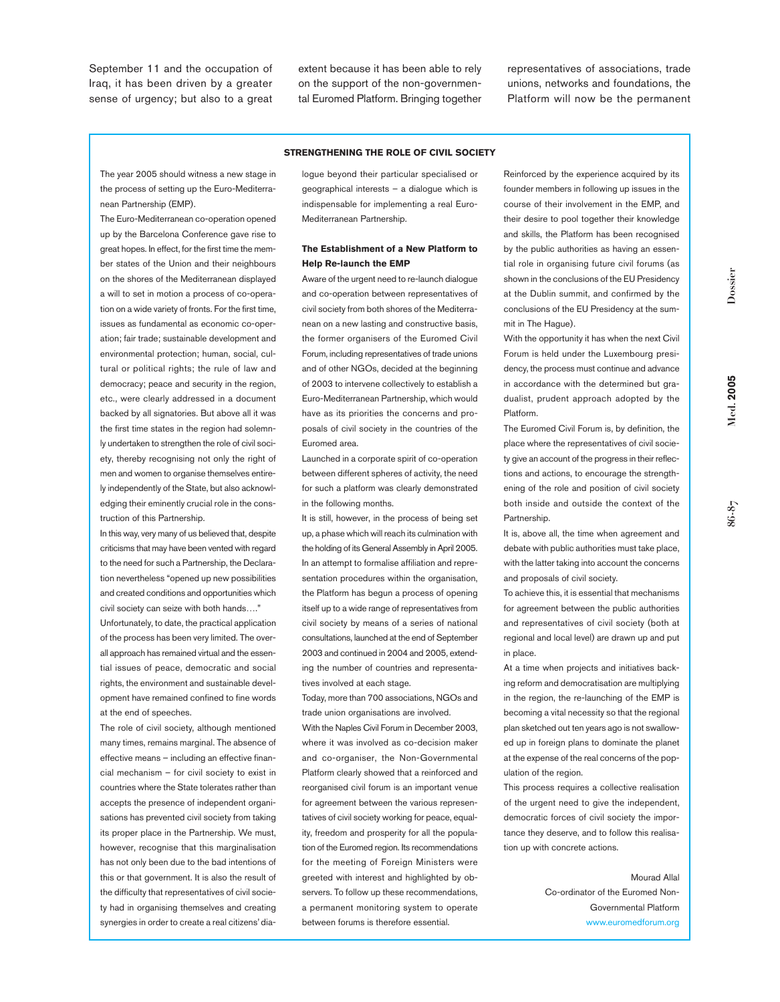September 11 and the occupation of Iraq, it has been driven by a greater sense of urgency; but also to a great extent because it has been able to rely on the support of the non-governmental Euromed Platform. Bringing together representatives of associations, trade unions, networks and foundations, the Platform will now be the permanent

#### **STRENGTHENING THE ROLE OF CIVIL SOCIETY**

The year 2005 should witness a new stage in the process of setting up the Euro-Mediterranean Partnership (EMP).

The Euro-Mediterranean co-operation opened up by the Barcelona Conference gave rise to great hopes. In effect, for the first time the member states of the Union and their neighbours on the shores of the Mediterranean displayed a will to set in motion a process of co-operation on a wide variety of fronts. For the first time, issues as fundamental as economic co-operation; fair trade; sustainable development and environmental protection; human, social, cultural or political rights; the rule of law and democracy; peace and security in the region, etc., were clearly addressed in a document backed by all signatories. But above all it was the first time states in the region had solemnly undertaken to strengthen the role of civil society, thereby recognising not only the right of men and women to organise themselves entirely independently of the State, but also acknowledging their eminently crucial role in the construction of this Partnership.

In this way, very many of us believed that, despite criticisms that may have been vented with regard to the need for such a Partnership, the Declaration nevertheless "opened up new possibilities and created conditions and opportunities which civil society can seize with both hands…."

Unfortunately, to date, the practical application of the process has been very limited. The overall approach has remained virtual and the essential issues of peace, democratic and social rights, the environment and sustainable development have remained confined to fine words at the end of speeches.

The role of civil society, although mentioned many times, remains marginal. The absence of effective means – including an effective financial mechanism – for civil society to exist in countries where the State tolerates rather than accepts the presence of independent organisations has prevented civil society from taking its proper place in the Partnership. We must, however, recognise that this marginalisation has not only been due to the bad intentions of this or that government. It is also the result of the difficulty that representatives of civil society had in organising themselves and creating synergies in order to create a real citizens' dialogue beyond their particular specialised or geographical interests – a dialogue which is indispensable for implementing a real Euro-Mediterranean Partnership.

#### **The Establishment of a New Platform to Help Re-launch the EMP**

Aware of the urgent need to re-launch dialogue and co-operation between representatives of civil society from both shores of the Mediterranean on a new lasting and constructive basis, the former organisers of the Euromed Civil Forum, including representatives of trade unions and of other NGOs, decided at the beginning of 2003 to intervene collectively to establish a Euro-Mediterranean Partnership, which would have as its priorities the concerns and proposals of civil society in the countries of the Euromed area.

Launched in a corporate spirit of co-operation between different spheres of activity, the need for such a platform was clearly demonstrated in the following months.

It is still, however, in the process of being set up, a phase which will reach its culmination with the holding of its General Assembly in April 2005. In an attempt to formalise affiliation and representation procedures within the organisation, the Platform has begun a process of opening itself up to a wide range of representatives from civil society by means of a series of national consultations, launched at the end of September 2003 and continued in 2004 and 2005, extending the number of countries and representatives involved at each stage.

Today, more than 700 associations, NGOs and trade union organisations are involved.

With the Naples Civil Forum in December 2003, where it was involved as co-decision maker and co-organiser, the Non-Governmental Platform clearly showed that a reinforced and reorganised civil forum is an important venue for agreement between the various representatives of civil society working for peace, equality, freedom and prosperity for all the population of the Euromed region. Its recommendations for the meeting of Foreign Ministers were greeted with interest and highlighted by observers. To follow up these recommendations, a permanent monitoring system to operate between forums is therefore essential.

Reinforced by the experience acquired by its founder members in following up issues in the course of their involvement in the EMP, and their desire to pool together their knowledge and skills, the Platform has been recognised by the public authorities as having an essential role in organising future civil forums (as shown in the conclusions of the EU Presidency at the Dublin summit, and confirmed by the conclusions of the EU Presidency at the summit in The Hague).

With the opportunity it has when the next Civil Forum is held under the Luxembourg presidency, the process must continue and advance in accordance with the determined but gradualist, prudent approach adopted by the Platform.

The Euromed Civil Forum is, by definition, the place where the representatives of civil society give an account of the progress in their reflections and actions, to encourage the strengthening of the role and position of civil society both inside and outside the context of the **Partnership** 

It is, above all, the time when agreement and debate with public authorities must take place, with the latter taking into account the concerns and proposals of civil society.

To achieve this, it is essential that mechanisms for agreement between the public authorities and representatives of civil society (both at regional and local level) are drawn up and put in place.

At a time when projects and initiatives backing reform and democratisation are multiplying in the region, the re-launching of the EMP is becoming a vital necessity so that the regional plan sketched out ten years ago is not swallowed up in foreign plans to dominate the planet at the expense of the real concerns of the population of the region.

This process requires a collective realisation of the urgent need to give the independent, democratic forces of civil society the importance they deserve, and to follow this realisation up with concrete actions.

> Mourad Allal Co-ordinator of the Euromed Non-Governmental Platform www.euromedforum.org

**Med. 2005**

Vled. 2005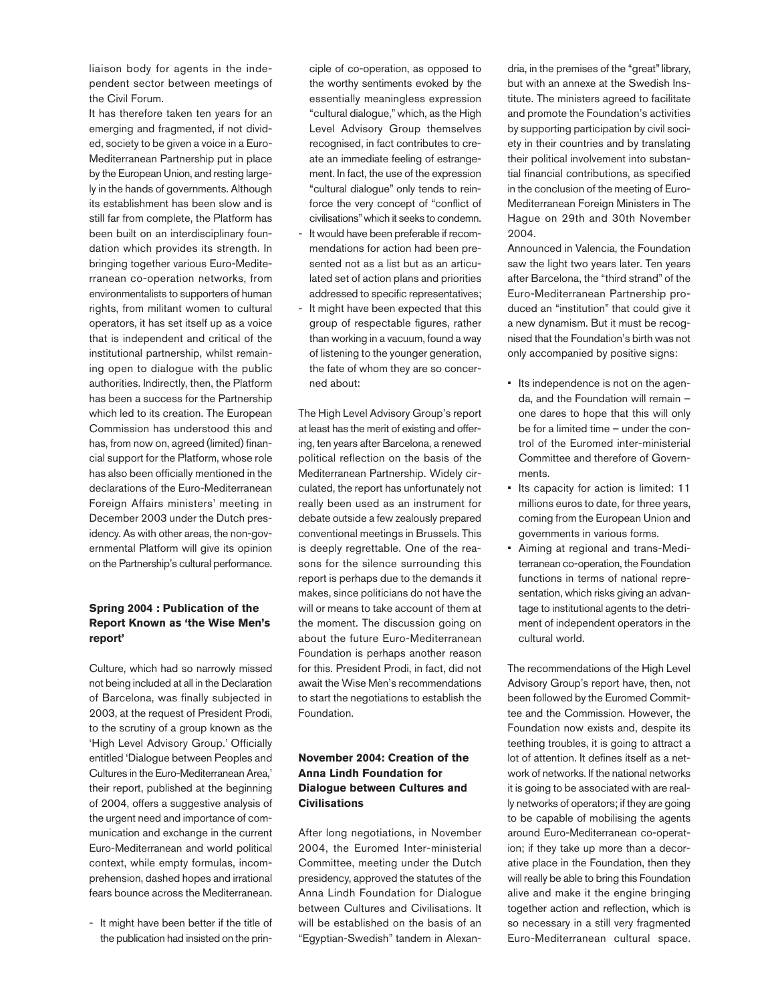liaison body for agents in the independent sector between meetings of the Civil Forum.

It has therefore taken ten years for an emerging and fragmented, if not divided, society to be given a voice in a Euro-Mediterranean Partnership put in place by the European Union, and resting largely in the hands of governments. Although its establishment has been slow and is still far from complete, the Platform has been built on an interdisciplinary foundation which provides its strength. In bringing together various Euro-Mediterranean co-operation networks, from environmentalists to supporters of human rights, from militant women to cultural operators, it has set itself up as a voice that is independent and critical of the institutional partnership, whilst remaining open to dialogue with the public authorities. Indirectly, then, the Platform has been a success for the Partnership which led to its creation. The European Commission has understood this and has, from now on, agreed (limited) financial support for the Platform, whose role has also been officially mentioned in the declarations of the Euro-Mediterranean Foreign Affairs ministers' meeting in December 2003 under the Dutch presidency. As with other areas, the non-governmental Platform will give its opinion on the Partnership's cultural performance.

## **Spring 2004 : Publication of the Report Known as 'the Wise Men's report'**

Culture, which had so narrowly missed not being included at all in the Declaration of Barcelona, was finally subjected in 2003, at the request of President Prodi, to the scrutiny of a group known as the 'High Level Advisory Group.' Officially entitled 'Dialogue between Peoples and Cultures in the Euro-Mediterranean Area,' their report, published at the beginning of 2004, offers a suggestive analysis of the urgent need and importance of communication and exchange in the current Euro-Mediterranean and world political context, while empty formulas, incomprehension, dashed hopes and irrational fears bounce across the Mediterranean.

- It might have been better if the title of the publication had insisted on the principle of co-operation, as opposed to the worthy sentiments evoked by the essentially meaningless expression "cultural dialogue," which, as the High Level Advisory Group themselves recognised, in fact contributes to create an immediate feeling of estrangement. In fact, the use of the expression "cultural dialogue" only tends to reinforce the very concept of "conflict of civilisations"which it seeks to condemn.

- It would have been preferable if recommendations for action had been presented not as a list but as an articulated set of action plans and priorities addressed to specific representatives;
- It might have been expected that this group of respectable figures, rather than working in a vacuum, found a way of listening to the younger generation, the fate of whom they are so concerned about:

The High Level Advisory Group's report at least has the merit of existing and offering, ten years after Barcelona, a renewed political reflection on the basis of the Mediterranean Partnership. Widely circulated, the report has unfortunately not really been used as an instrument for debate outside a few zealously prepared conventional meetings in Brussels. This is deeply regrettable. One of the reasons for the silence surrounding this report is perhaps due to the demands it makes, since politicians do not have the will or means to take account of them at the moment. The discussion going on about the future Euro-Mediterranean Foundation is perhaps another reason for this. President Prodi, in fact, did not await the Wise Men's recommendations to start the negotiations to establish the Foundation.

# **November 2004: Creation of the Anna Lindh Foundation for Dialogue between Cultures and Civilisations**

After long negotiations, in November 2004, the Euromed Inter-ministerial Committee, meeting under the Dutch presidency, approved the statutes of the Anna Lindh Foundation for Dialogue between Cultures and Civilisations. It will be established on the basis of an "Egyptian-Swedish" tandem in Alexandria, in the premises of the "great"library, but with an annexe at the Swedish Institute. The ministers agreed to facilitate and promote the Foundation's activities by supporting participation by civil society in their countries and by translating their political involvement into substantial financial contributions, as specified in the conclusion of the meeting of Euro-Mediterranean Foreign Ministers in The Hague on 29th and 30th November 2004.

Announced in Valencia, the Foundation saw the light two years later. Ten years after Barcelona, the "third strand" of the Euro-Mediterranean Partnership produced an "institution" that could give it a new dynamism. But it must be recognised that the Foundation's birth was not only accompanied by positive signs:

- Its independence is not on the agenda, and the Foundation will remain – one dares to hope that this will only be for a limited time – under the control of the Euromed inter-ministerial Committee and therefore of Governments.
- Its capacity for action is limited: 11 millions euros to date, for three years, coming from the European Union and governments in various forms.
- Aiming at regional and trans-Mediterranean co-operation, the Foundation functions in terms of national representation, which risks giving an advantage to institutional agents to the detriment of independent operators in the cultural world.

The recommendations of the High Level Advisory Group's report have, then, not been followed by the Euromed Committee and the Commission. However, the Foundation now exists and, despite its teething troubles, it is going to attract a lot of attention. It defines itself as a network of networks. If the national networks it is going to be associated with are really networks of operators; if they are going to be capable of mobilising the agents around Euro-Mediterranean co-operation; if they take up more than a decorative place in the Foundation, then they will really be able to bring this Foundation alive and make it the engine bringing together action and reflection, which is so necessary in a still very fragmented Euro-Mediterranean cultural space.